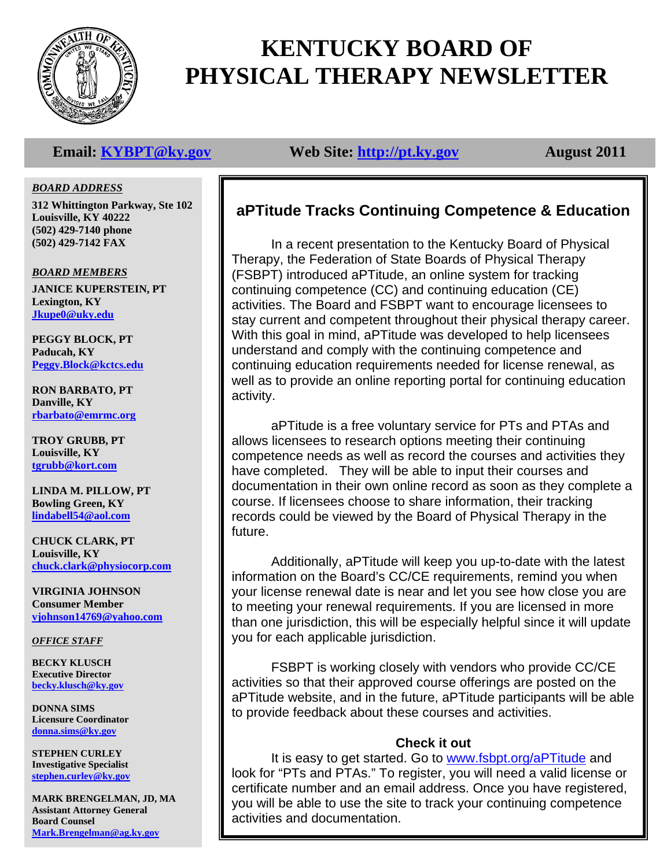

# **KENTUCKY BOARD OF PHYSICAL THERAPY NEWSLETTER**

# **Email:** KYBPT@ky.gov Web Site: http://pt.ky.gov August 2011

### *BOARD ADDRESS*

**312 Whittington Parkway, Ste 102 Louisville, KY 40222 (502) 429-7140 phone (502) 429-7142 FAX** 

*BOARD MEMBERS*

**JANICE KUPERSTEIN, PT Lexington, KY Jkupe0@uky.edu**

**PEGGY BLOCK, PT Paducah, KY Peggy.Block@kctcs.edu**

**RON BARBATO, PT Danville, KY rbarbato@emrmc.org**

**TROY GRUBB, PT Louisville, KY tgrubb@kort.com**

**LINDA M. PILLOW, PT Bowling Green, KY lindabell54@aol.com**

**CHUCK CLARK, PT Louisville, KY chuck.clark@physiocorp.com**

**VIRGINIA JOHNSON Consumer Member vjohnson14769@yahoo.com**

*OFFICE STAFF*

**BECKY KLUSCH Executive Director becky.klusch@ky.gov**

**DONNA SIMS Licensure Coordinator donna.sims@ky.gov**

**STEPHEN CURLEY Investigative Specialist stephen.curley@ky.gov**

**MARK BRENGELMAN, JD, MA Assistant Attorney General Board Counsel Mark.Brengelman@ag.ky.gov**

# **aPTitude Tracks Continuing Competence & Education**

In a recent presentation to the Kentucky Board of Physical Therapy, the Federation of State Boards of Physical Therapy (FSBPT) introduced aPTitude, an online system for tracking continuing competence (CC) and continuing education (CE) activities. The Board and FSBPT want to encourage licensees to stay current and competent throughout their physical therapy career. With this goal in mind, aPTitude was developed to help licensees understand and comply with the continuing competence and continuing education requirements needed for license renewal, as well as to provide an online reporting portal for continuing education activity.

 aPTitude is a free voluntary service for PTs and PTAs and allows licensees to research options meeting their continuing competence needs as well as record the courses and activities they have completed. They will be able to input their courses and documentation in their own online record as soon as they complete a course. If licensees choose to share information, their tracking records could be viewed by the Board of Physical Therapy in the future.

 Additionally, aPTitude will keep you up-to-date with the latest information on the Board's CC/CE requirements, remind you when your license renewal date is near and let you see how close you are to meeting your renewal requirements. If you are licensed in more than one jurisdiction, this will be especially helpful since it will update you for each applicable jurisdiction.

 FSBPT is working closely with vendors who provide CC/CE activities so that their approved course offerings are posted on the aPTitude website, and in the future, aPTitude participants will be able to provide feedback about these courses and activities.

### **Check it out**

It is easy to get started. Go to www.fsbpt.org/aPTitude and look for "PTs and PTAs." To register, you will need a valid license or certificate number and an email address. Once you have registered, you will be able to use the site to track your continuing competence activities and documentation.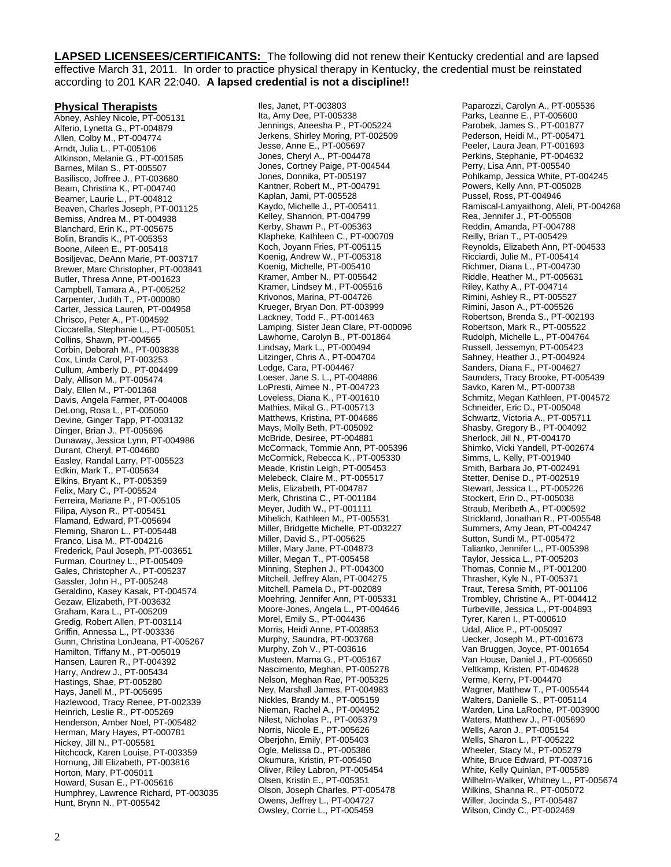**LAPSED LICENSEES/CERTIFICANTS:** The following did not renew their Kentucky credential and are lapsed effective March 31, 2011. In order to practice physical therapy in Kentucky, the credential must be reinstated according to 201 KAR 22:040. **A lapsed credential is not a discipline!!** 

#### **Physical Therapists**

Abney, Ashley Nicole, PT-005131 Alferio, Lynetta G., PT-004879 Allen, Colby M., PT-004774 Arndt, Julia L., PT-005106 Atkinson, Melanie G., PT-001585 Barnes, Milan S., PT-005507 Basilisco, Joffree J., PT-003680 Beam, Christina K., PT-004740 Beamer, Laurie L., PT-004812 Beaven, Charles Joseph, PT-001125 Bemiss, Andrea M., PT-004938 Blanchard, Erin K., PT-005675 Bolin, Brandis K., PT-005353 Boone, Aileen E., PT-005418 Bosiljevac, DeAnn Marie, PT-003717 Brewer, Marc Christopher, PT-003841 Butler, Thresa Anne, PT-001623 Campbell, Tamara A., PT-005252 Carpenter, Judith T., PT-000080 Carter, Jessica Lauren, PT-004958 Chrisco, Peter A., PT-004592 Ciccarella, Stephanie L., PT-005051 Collins, Shawn, PT-004565 Corbin, Deborah M., PT-003838 Cox, Linda Carol, PT-003253 Cullum, Amberly D., PT-004499 Daly, Allison M., PT-005474 Daly, Ellen M., PT-001368 Davis, Angela Farmer, PT-004008 DeLong, Rosa L., PT-005050 Devine, Ginger Tapp, PT-003132 Dinger, Brian J., PT-005696 Dunaway, Jessica Lynn, PT-004986 Durant, Cheryl, PT-004680 Easley, Randal Larry, PT-005523 Edkin, Mark T., PT-005634 Elkins, Bryant K., PT-005359 Felix, Mary C., PT-005524 Ferreira, Mariane P., PT-005105 Filipa, Alyson R., PT-005451 Flamand, Edward, PT-005694 Fleming, Sharon L., PT-005448 Franco, Lisa M., PT-004216 Frederick, Paul Joseph, PT-003651 Furman, Courtney L., PT-005409 Gales, Christopher A., PT-005237 Gassler, John H., PT-005248 Geraldino, Kasey Kasak, PT-004574 Gezaw, Elizabeth, PT-003632 Graham, Kara L., PT-005209 Gredig, Robert Allen, PT-003114 Griffin, Annessa L., PT-003336 Gunn, Christina LonJeana, PT-005267 Hamilton, Tiffany M., PT-005019 Hansen, Lauren R., PT-004392 Harry, Andrew J., PT-005434 Hastings, Shae, PT-005280 Hays, Janell M., PT-005695 Hazlewood, Tracy Renee, PT-002339 Heinrich, Leslie R., PT-005269 Henderson, Amber Noel, PT-005482 Herman, Mary Hayes, PT-000781 Hickey, Jill N., PT-005581 Hitchcock, Karen Louise, PT-003359 Hornung, Jill Elizabeth, PT-003816 Horton, Mary, PT-005011 Howard, Susan E., PT-005616 Humphrey, Lawrence Richard, PT-003035 Hunt, Brynn N., PT-005542

Iles, Janet, PT-003803 Ita, Amy Dee, PT-005338 Jennings, Aneesha P., PT-005224 Jerkens, Shirley Moring, PT-002509 Jesse, Anne E., PT-005697 Jones, Cheryl A., PT-004478 Jones, Cortney Paige, PT-004544 Jones, Donnika, PT-005197 Kantner, Robert M., PT-004791 Kaplan, Jami, PT-005528 Kaydo, Michelle J., PT-005411 Kelley, Shannon, PT-004799 Kerby, Shawn P., PT-005363 Klapheke, Kathleen C., PT-000709 Koch, Joyann Fries, PT-005115 Koenig, Andrew W., PT-005318 Koenig, Michelle, PT-005410 Kramer, Amber N., PT-005642 Kramer, Lindsey M., PT-005516 Krivonos, Marina, PT-004726 Krueger, Bryan Don, PT-003999 Lackney, Todd F., PT-001463 Lamping, Sister Jean Clare, PT-000096 Lawhorne, Carolyn B., PT-001864 Lindsay, Mark L., PT-000494 Litzinger, Chris A., PT-004704 Lodge, Cara, PT-004467 Loeser, Jane S. L., PT-004886 LoPresti, Aimee N., PT-004723 Loveless, Diana K., PT-001610 Mathies, Mikal G., PT-005713 Matthews, Kristina, PT-004686 Mays, Molly Beth, PT-005092 McBride, Desiree, PT-004881 McCormack, Tommie Ann, PT-005396 McCormick, Rebecca K., PT-005330 Meade, Kristin Leigh, PT-005453 Melebeck, Claire M., PT-005517 Melis, Elizabeth, PT-004787 Merk, Christina C., PT-001184 Meyer, Judith W., PT-001111 Mihelich, Kathleen M., PT-005531 Miller, Bridgette Michelle, PT-003227 Miller, David S., PT-005625 Miller, Mary Jane, PT-004873 Miller, Megan T., PT-005458 Minning, Stephen J., PT-004300 Mitchell, Jeffrey Alan, PT-004275 Mitchell, Pamela D., PT-002089 Moehring, Jennifer Ann, PT-005331 Moore-Jones, Angela L., PT-004646 Morel, Emily S., PT-004436 Morris, Heidi Anne, PT-003853 Murphy, Saundra, PT-003768 Murphy, Zoh V., PT-003616 Musteen, Marna G., PT-005167 Nascimento, Meghan, PT-005278 Nelson, Meghan Rae, PT-005325 Ney, Marshall James, PT-004983 Nickles, Brandy M., PT-005159 Nieman, Rachel A., PT-004952 Nilest, Nicholas P., PT-005379 Norris, Nicole E., PT-005626 Oberjohn, Emily, PT-005403 Ogle, Melissa D., PT-005386 Okumura, Kristin, PT-005450 Oliver, Riley Labron, PT-005454 Olsen, Kristin E., PT-005351 Olson, Joseph Charles, PT-005478 Owens, Jeffrey L., PT-004727 Owsley, Corrie L., PT-005459

Paparozzi, Carolyn A., PT-005536 Parks, Leanne E., PT-005600 Parobek, James S., PT-001877 Pederson, Heidi M., PT-005471 Peeler, Laura Jean, PT-001693 Perkins, Stephanie, PT-004632 Perry, Lisa Ann, PT-005540 Pohlkamp, Jessica White, PT-004245 Powers, Kelly Ann, PT-005028 Pussel, Ross, PT-004946 Ramiscal-Lamyaithong, Aleli, PT-004268 Rea, Jennifer J., PT-005508 Reddin, Amanda, PT-004788 Reilly, Brian T., PT-005429 Reynolds, Elizabeth Ann, PT-004533 Ricciardi, Julie M., PT-005414 Richmer, Diana L., PT-004730 Riddle, Heather M., PT-005631 Riley, Kathy A., PT-004714 Rimini, Ashley R., PT-005527 Rimini, Jason A., PT-005526 Robertson, Brenda S., PT-002193 Robertson, Mark R., PT-005522 Rudolph, Michelle L., PT-004764 Russell, Jessemyn, PT-005423 Sahney, Heather J., PT-004924 Sanders, Diana F., PT-004627 Saunders, Tracy Brooke, PT-005439 Savko, Karen M., PT-000738 Schmitz, Megan Kathleen, PT-004572 Schneider, Eric D., PT-005048 Schwartz, Victoria A., PT-005711 Shasby, Gregory B., PT-004092 Sherlock, Jill N., PT-004170 Shimko, Vicki Yandell, PT-002674 Simms, L. Kelly, PT-001940 Smith, Barbara Jo, PT-002491 Stetter, Denise D., PT-002519 Stewart, Jessica L., PT-005226 Stockert, Erin D., PT-005038 Straub, Meribeth A., PT-000592 Strickland, Jonathan R., PT-005548 Summers, Amy Jean, PT-004247 Sutton, Sundi M., PT-005472 Talianko, Jennifer L., PT-005398 Taylor, Jessica L., PT-005203 Thomas, Connie M., PT-001200 Thrasher, Kyle N., PT-005371 Traut, Teresa Smith, PT-001106 Trombley, Christine A., PT-004412 Turbeville, Jessica L., PT-004893 Tyrer, Karen I., PT-000610 Udal, Alice P., PT-005097 Uecker, Joseph M., PT-001673 Van Bruggen, Joyce, PT-001654 Van House, Daniel J., PT-005650 Veltkamp, Kristen, PT-004628 Verme, Kerry, PT-004470 Wagner, Matthew T., PT-005544 Walters, Danielle S., PT-005114 Warden, Lina LaRoche, PT-003900 Waters, Matthew J., PT-005690 Wells, Aaron J., PT-005154 Wells, Sharon L., PT-005222 Wheeler, Stacy M., PT-005279 White, Bruce Edward, PT-003716 White, Kelly Quinlan, PT-005589 Wilhelm-Walker, Whitney L., PT-005674 Wilkins, Shanna R., PT-005072 Willer, Jocinda S., PT-005487 Wilson, Cindy C., PT-002469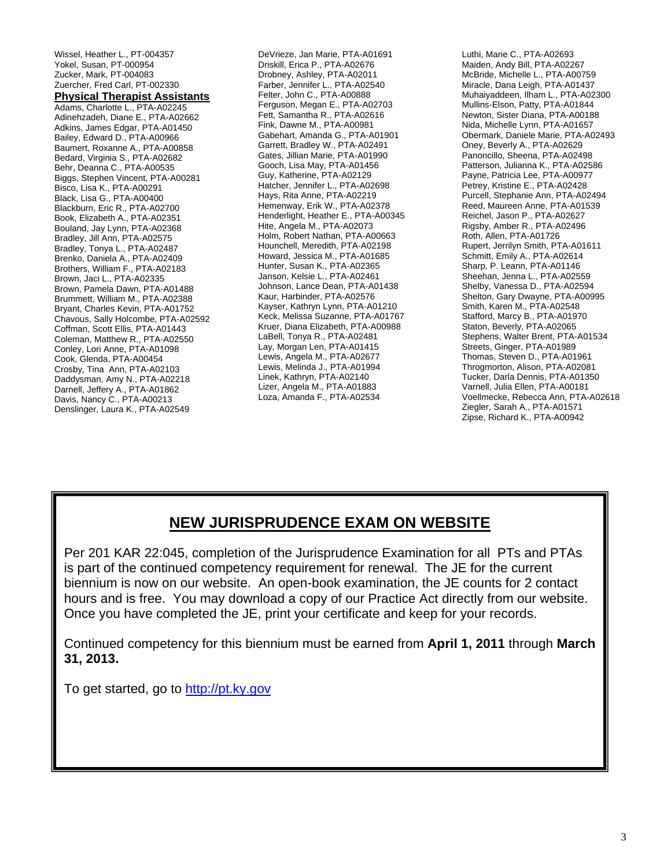Wissel, Heather L., PT-004357 Yokel, Susan, PT-000954 Zucker, Mark, PT-004083 Zuercher, Fred Carl, PT-002330 **Physical Therapist Assistants** Adams, Charlotte L., PTA-A02245 Adinehzadeh, Diane E., PTA-A02662 Adkins, James Edgar, PTA-A01450 Bailey, Edward D., PTA-A00966 Baumert, Roxanne A., PTA-A00858 Bedard, Virginia S., PTA-A02682 Behr, Deanna C., PTA-A00535 Biggs, Stephen Vincent, PTA-A00281 Bisco, Lisa K., PTA-A00291 Black, Lisa G., PTA-A00400 Blackburn, Eric R., PTA-A02700 Book, Elizabeth A., PTA-A02351 Bouland, Jay Lynn, PTA-A02368 Bradley, Jill Ann, PTA-A02575 Bradley, Tonya L., PTA-A02487 Brenko, Daniela A., PTA-A02409 Brothers, William F., PTA-A02183 Brown, Jaci L., PTA-A02335 Brown, Pamela Dawn, PTA-A01488 Brummett, William M., PTA-A02388 Bryant, Charles Kevin, PTA-A01752 Chavous, Sally Holcombe, PTA-A02592 Coffman, Scott Ellis, PTA-A01443 Coleman, Matthew R., PTA-A02550 Conley, Lori Anne, PTA-A01098 Cook, Glenda, PTA-A00454 Crosby, Tina Ann, PTA-A02103 Daddysman, Amy N., PTA-A02218 Darnell, Jeffery A., PTA-A01862 Davis, Nancy C., PTA-A00213 Denslinger, Laura K., PTA-A02549

DeVrieze, Jan Marie, PTA-A01691 Driskill, Erica P., PTA-A02676 Drobney, Ashley, PTA-A02011 Farber, Jennifer L., PTA-A02540 Felter, John C., PTA-A00888 Ferguson, Megan E., PTA-A02703 Fett, Samantha R., PTA-A02616 Fink, Dawne M., PTA-A00981 Gabehart, Amanda G., PTA-A01901 Garrett, Bradley W., PTA-A02491 Gates, Jillian Marie, PTA-A01990 Gooch, Lisa May, PTA-A01456 Guy, Katherine, PTA-A02129 Hatcher, Jennifer L., PTA-A02698 Hays, Rita Anne, PTA-A02219 Hemenway, Erik W., PTA-A02378 Henderlight, Heather E., PTA-A00345 Hite, Angela M., PTA-A02073 Holm, Robert Nathan, PTA-A00663 Hounchell, Meredith, PTA-A02198 Howard, Jessica M., PTA-A01685 Hunter, Susan K., PTA-A02365 Janson, Kelsie L., PTA-A02461 Johnson, Lance Dean, PTA-A01438 Kaur, Harbinder, PTA-A02576 Kayser, Kathryn Lynn, PTA-A01210 Keck, Melissa Suzanne, PTA-A01767 Kruer, Diana Elizabeth, PTA-A00988 LaBell, Tonya R., PTA-A02481 Lay, Morgan Len, PTA-A01415 Lewis, Angela M., PTA-A02677 Lewis, Melinda J., PTA-A01994 Linek, Kathryn, PTA-A02140 Lizer, Angela M., PTA-A01883 Loza, Amanda F., PTA-A02534

Luthi, Marie C., PTA-A02693 Maiden, Andy Bill, PTA-A02267 McBride, Michelle L., PTA-A00759 Miracle, Dana Leigh, PTA-A01437 Muhaiyaddeen, Ilham L., PTA-A02300 Mullins-Elson, Patty, PTA-A01844 Newton, Sister Diana, PTA-A00188 Nida, Michelle Lynn, PTA-A01657 Obermark, Daniele Marie, PTA-A02493 Oney, Beverly A., PTA-A02629 Panoncillo, Sheena, PTA-A02498 Patterson, Julianna K., PTA-A02586 Payne, Patricia Lee, PTA-A00977 Petrey, Kristine E., PTA-A02428 Purcell, Stephanie Ann, PTA-A02494 Reed, Maureen Anne, PTA-A01539 Reichel, Jason P., PTA-A02627 Rigsby, Amber R., PTA-A02496 Roth, Allen, PTA-A01726 Rupert, Jerrilyn Smith, PTA-A01611 Schmitt, Emily A., PTA-A02614 Sharp, P. Leann, PTA-A01146 Sheehan, Jenna L., PTA-A02559 Shelby, Vanessa D., PTA-A02594 Shelton, Gary Dwayne, PTA-A00995 Smith, Karen M., PTA-A02548 Stafford, Marcy B., PTA-A01970 Staton, Beverly, PTA-A02065 Stephens, Walter Brent, PTA-A01534 Streets, Ginger, PTA-A01989 Thomas, Steven D., PTA-A01961 Throgmorton, Alison, PTA-A02081 Tucker, Darla Dennis, PTA-A01350 Varnell, Julia Ellen, PTA-A00181 Voellmecke, Rebecca Ann, PTA-A02618 Ziegler, Sarah A., PTA-A01571 Zipse, Richard K., PTA-A00942

# **NEW JURISPRUDENCE EXAM ON WEBSITE**

Per 201 KAR 22:045, completion of the Jurisprudence Examination for all PTs and PTAs is part of the continued competency requirement for renewal. The JE for the current biennium is now on our website. An open-book examination, the JE counts for 2 contact hours and is free. You may download a copy of our Practice Act directly from our website. Once you have completed the JE, print your certificate and keep for your records.

Continued competency for this biennium must be earned from **April 1, 2011** through **March 31, 2013.** 

To get started, go to http://pt.ky.gov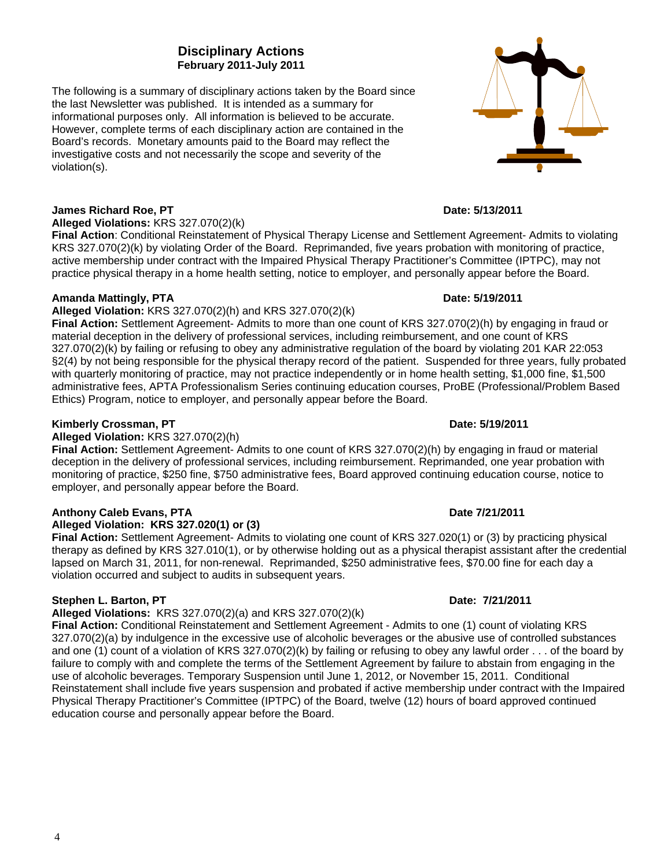### **Disciplinary Actions February 2011-July 2011**

The following is a summary of disciplinary actions taken by the Board since the last Newsletter was published. It is intended as a summary for informational purposes only. All information is believed to be accurate. However, complete terms of each disciplinary action are contained in the Board's records. Monetary amounts paid to the Board may reflect the investigative costs and not necessarily the scope and severity of the violation(s).

#### **James Richard Roe, PT Date: 5/13/2011**

**Alleged Violations:** KRS 327.070(2)(k)

**Final Action**: Conditional Reinstatement of Physical Therapy License and Settlement Agreement- Admits to violating KRS 327.070(2)(k) by violating Order of the Board. Reprimanded, five years probation with monitoring of practice, active membership under contract with the Impaired Physical Therapy Practitioner's Committee (IPTPC), may not practice physical therapy in a home health setting, notice to employer, and personally appear before the Board.

#### **Amanda Mattingly, PTA** Date: 5/19/2011

#### **Alleged Violation:** KRS 327.070(2)(h) and KRS 327.070(2)(k)

**Final Action:** Settlement Agreement- Admits to more than one count of KRS 327.070(2)(h) by engaging in fraud or material deception in the delivery of professional services, including reimbursement, and one count of KRS 327.070(2)(k) by failing or refusing to obey any administrative regulation of the board by violating 201 KAR 22:053 §2(4) by not being responsible for the physical therapy record of the patient. Suspended for three years, fully probated with quarterly monitoring of practice, may not practice independently or in home health setting, \$1,000 fine, \$1,500 administrative fees, APTA Professionalism Series continuing education courses, ProBE (Professional/Problem Based Ethics) Program, notice to employer, and personally appear before the Board.

#### **Kimberly Crossman, PT Date: 5/19/2011 Date: 5/19/2011**

#### **Alleged Violation:** KRS 327.070(2)(h)

**Final Action:** Settlement Agreement- Admits to one count of KRS 327.070(2)(h) by engaging in fraud or material deception in the delivery of professional services, including reimbursement. Reprimanded, one year probation with monitoring of practice, \$250 fine, \$750 administrative fees, Board approved continuing education course, notice to employer, and personally appear before the Board.

## **Anthony Caleb Evans, PTA Date 7/21/2011**

**Alleged Violation: KRS 327.020(1) or (3)** 

**Final Action:** Settlement Agreement- Admits to violating one count of KRS 327.020(1) or (3) by practicing physical therapy as defined by KRS 327.010(1), or by otherwise holding out as a physical therapist assistant after the credential lapsed on March 31, 2011, for non-renewal. Reprimanded, \$250 administrative fees, \$70.00 fine for each day a violation occurred and subject to audits in subsequent years.

#### **Stephen L. Barton, PT Date: 7/21/2011**

### **Alleged Violations:** KRS 327.070(2)(a) and KRS 327.070(2)(k)

**Final Action:** Conditional Reinstatement and Settlement Agreement - Admits to one (1) count of violating KRS 327.070(2)(a) by indulgence in the excessive use of alcoholic beverages or the abusive use of controlled substances and one (1) count of a violation of KRS 327.070(2)(k) by failing or refusing to obey any lawful order . . . of the board by failure to comply with and complete the terms of the Settlement Agreement by failure to abstain from engaging in the use of alcoholic beverages. Temporary Suspension until June 1, 2012, or November 15, 2011. Conditional Reinstatement shall include five years suspension and probated if active membership under contract with the Impaired Physical Therapy Practitioner's Committee (IPTPC) of the Board, twelve (12) hours of board approved continued education course and personally appear before the Board.